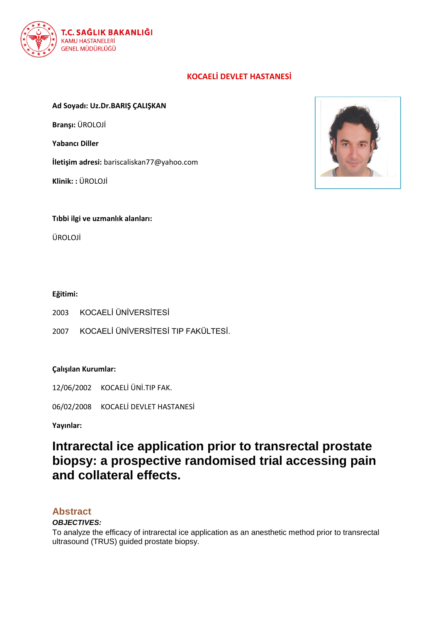

## **KOCAELİ DEVLET HASTANESİ**

## **Ad Soyadı: Uz.Dr.BARIŞ ÇALIŞKAN**

**Branşı:** ÜROLOJİ

**Yabancı Diller**

**İletişim adresi:** bariscaliskan77@yahoo.com

**Klinik: :** ÜROLOJİ



**Tıbbi ilgi ve uzmanlık alanları:**

ÜROLOJİ

## **Eğitimi:**

- 2003 KOCAELİ ÜNİVERSİTESİ
- 2007 KOCAELİ ÜNİVERSİTESİ TIP FAKÜLTESİ.

## **Çalışılan Kurumlar:**

12/06/2002 KOCAELİ ÜNİ.TIP FAK.

06/02/2008 KOCAELİ DEVLET HASTANESİ

**Yayınlar:** 

# **Intrarectal ice application prior to transrectal prostate biopsy: a prospective randomised trial accessing pain and collateral effects.**

## **Abstract**

## *OBJECTIVES:*

To analyze the efficacy of intrarectal ice application as an anesthetic method prior to transrectal ultrasound (TRUS) guided prostate biopsy.